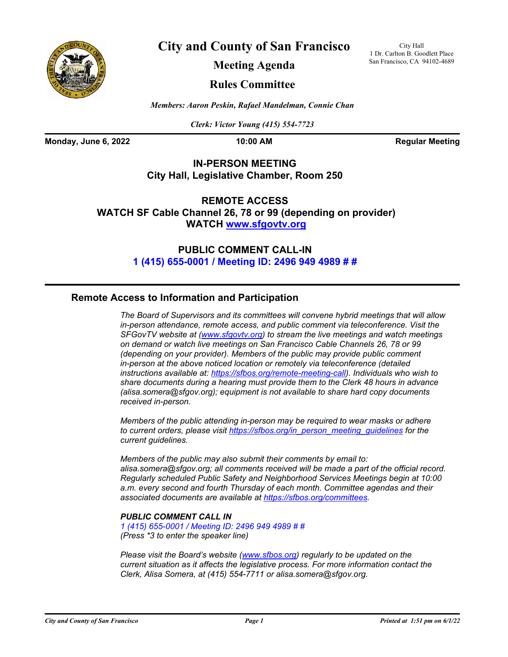

**City and County of San Francisco**

City Hall 1 Dr. Carlton B. Goodlett Place San Francisco, CA 94102-4689

**Meeting Agenda**

# **Rules Committee**

*Members: Aaron Peskin, Rafael Mandelman, Connie Chan*

*Clerk: Victor Young (415) 554-7723*

**Monday, June 6, 2022 10:00 AM Regular Meeting** 

# **IN-PERSON MEETING City Hall, Legislative Chamber, Room 250**

**REMOTE ACCESS WATCH SF Cable Channel 26, 78 or 99 (depending on provider) WATC[H www.sfgovtv.org](www.sfgovtv.org)**

> **PUBLIC COMMENT CALL-IN [1 \(415\) 655-0001 / Meeting ID: 2496 949 4989 # #](tel:+14156550001,,24969494989#,,#)**

# **Remote Access to Information and Participation**

*The Board of Supervisors and its committees will convene hybrid meetings that will allow in-person attendance, remote access, and public comment via teleconference. Visit the SFGovTV website at [\(www.sfgovtv.org\)](www.sfgovtv.org) to stream the live meetings and watch meetings on demand or watch live meetings on San Francisco Cable Channels 26, 78 or 99 (depending on your provider). Members of the public may provide public comment in-person at the above noticed location or remotely via teleconference (detailed instructions available at: [https://sfbos.org/remote-meeting-call\).](https://sfbos.org/remote-meeting-call) Individuals who wish to share documents during a hearing must provide them to the Clerk 48 hours in advance (alisa.somera@sfgov.org); equipment is not available to share hard copy documents received in-person.*

*Members of the public attending in-person may be required to wear masks or adhere to current orders, please visi[t https://sfbos.org/in\\_person\\_meeting\\_guidelines f](https://sfbos.org/in_person_meeting_guidelines)or the current guidelines.*

*Members of the public may also submit their comments by email to: alisa.somera@sfgov.org; all comments received will be made a part of the official record. Regularly scheduled Public Safety and Neighborhood Services Meetings begin at 10:00 a.m. every second and fourth Thursday of each month. Committee agendas and their associated documents are available at [https://sfbos.org/committees.](https://sfbos.org/committees)*

## *PUBLIC COMMENT CALL IN*

*[1 \(415\) 655-0001 / Meeting ID: 2496 949 4989 # #](tel:+14156550001,,24969494989#,,#) (Press \*3 to enter the speaker line)*

*Please visit the Board's website [\(www.sfbos.org\)](www.sfbos.org) regularly to be updated on the current situation as it affects the legislative process. For more information contact the Clerk, Alisa Somera, at (415) 554-7711 or alisa.somera@sfgov.org.*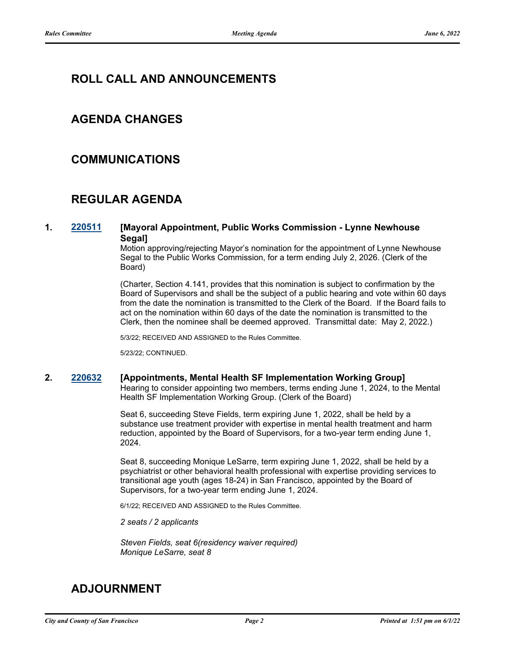# **ROLL CALL AND ANNOUNCEMENTS**

# **AGENDA CHANGES**

# **COMMUNICATIONS**

# **REGULAR AGENDA**

## **1. [220511](http://sfgov.legistar.com/gateway.aspx?m=l&id=38703) [Mayoral Appointment, Public Works Commission - Lynne Newhouse Segal]**

Motion approving/rejecting Mayor's nomination for the appointment of Lynne Newhouse Segal to the Public Works Commission, for a term ending July 2, 2026. (Clerk of the Board)

(Charter, Section 4.141, provides that this nomination is subject to confirmation by the Board of Supervisors and shall be the subject of a public hearing and vote within 60 days from the date the nomination is transmitted to the Clerk of the Board. If the Board fails to act on the nomination within 60 days of the date the nomination is transmitted to the Clerk, then the nominee shall be deemed approved. Transmittal date: May 2, 2022.)

5/3/22; RECEIVED AND ASSIGNED to the Rules Committee.

5/23/22; CONTINUED.

## **2. [220632](http://sfgov.legistar.com/gateway.aspx?m=l&id=38824) [Appointments, Mental Health SF Implementation Working Group]**

Hearing to consider appointing two members, terms ending June 1, 2024, to the Mental Health SF Implementation Working Group. (Clerk of the Board)

Seat 6, succeeding Steve Fields, term expiring June 1, 2022, shall be held by a substance use treatment provider with expertise in mental health treatment and harm reduction, appointed by the Board of Supervisors, for a two-year term ending June 1, 2024.

Seat 8, succeeding Monique LeSarre, term expiring June 1, 2022, shall be held by a psychiatrist or other behavioral health professional with expertise providing services to transitional age youth (ages 18-24) in San Francisco, appointed by the Board of Supervisors, for a two-year term ending June 1, 2024.

6/1/22; RECEIVED AND ASSIGNED to the Rules Committee.

*2 seats / 2 applicants*

*Steven Fields, seat 6(residency waiver required) Monique LeSarre, seat 8*

# **ADJOURNMENT**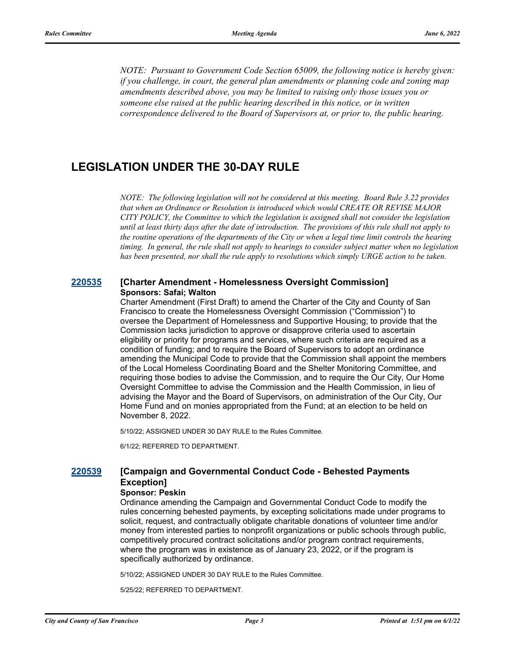*NOTE: Pursuant to Government Code Section 65009, the following notice is hereby given: if you challenge, in court, the general plan amendments or planning code and zoning map amendments described above, you may be limited to raising only those issues you or someone else raised at the public hearing described in this notice, or in written correspondence delivered to the Board of Supervisors at, or prior to, the public hearing.*

# **LEGISLATION UNDER THE 30-DAY RULE**

*NOTE: The following legislation will not be considered at this meeting. Board Rule 3.22 provides that when an Ordinance or Resolution is introduced which would CREATE OR REVISE MAJOR CITY POLICY, the Committee to which the legislation is assigned shall not consider the legislation until at least thirty days after the date of introduction. The provisions of this rule shall not apply to the routine operations of the departments of the City or when a legal time limit controls the hearing timing. In general, the rule shall not apply to hearings to consider subject matter when no legislation has been presented, nor shall the rule apply to resolutions which simply URGE action to be taken.*

## **[220535](http://sfgov.legistar.com/gateway.aspx?m=l&id=38727) [Charter Amendment - Homelessness Oversight Commission] Sponsors: Safai; Walton**

Charter Amendment (First Draft) to amend the Charter of the City and County of San Francisco to create the Homelessness Oversight Commission ("Commission") to oversee the Department of Homelessness and Supportive Housing; to provide that the Commission lacks jurisdiction to approve or disapprove criteria used to ascertain eligibility or priority for programs and services, where such criteria are required as a condition of funding; and to require the Board of Supervisors to adopt an ordinance amending the Municipal Code to provide that the Commission shall appoint the members of the Local Homeless Coordinating Board and the Shelter Monitoring Committee, and requiring those bodies to advise the Commission, and to require the Our City, Our Home Oversight Committee to advise the Commission and the Health Commission, in lieu of advising the Mayor and the Board of Supervisors, on administration of the Our City, Our Home Fund and on monies appropriated from the Fund; at an election to be held on November 8, 2022.

5/10/22; ASSIGNED UNDER 30 DAY RULE to the Rules Committee.

6/1/22; REFERRED TO DEPARTMENT.

# **[220539](http://sfgov.legistar.com/gateway.aspx?m=l&id=38731) [Campaign and Governmental Conduct Code - Behested Payments Exception]**

#### **Sponsor: Peskin**

Ordinance amending the Campaign and Governmental Conduct Code to modify the rules concerning behested payments, by excepting solicitations made under programs to solicit, request, and contractually obligate charitable donations of volunteer time and/or money from interested parties to nonprofit organizations or public schools through public, competitively procured contract solicitations and/or program contract requirements, where the program was in existence as of January 23, 2022, or if the program is specifically authorized by ordinance.

5/10/22; ASSIGNED UNDER 30 DAY RULE to the Rules Committee.

5/25/22; REFERRED TO DEPARTMENT.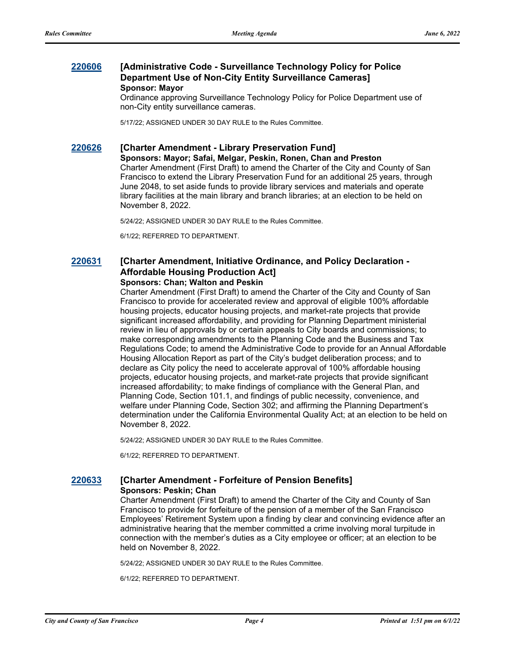## **[220606](http://sfgov.legistar.com/gateway.aspx?m=l&id=38798) [Administrative Code - Surveillance Technology Policy for Police Department Use of Non-City Entity Surveillance Cameras] Sponsor: Mayor**

Ordinance approving Surveillance Technology Policy for Police Department use of non-City entity surveillance cameras.

5/17/22; ASSIGNED UNDER 30 DAY RULE to the Rules Committee.

#### **[220626](http://sfgov.legistar.com/gateway.aspx?m=l&id=38818) [Charter Amendment - Library Preservation Fund]**

**Sponsors: Mayor; Safai, Melgar, Peskin, Ronen, Chan and Preston** Charter Amendment (First Draft) to amend the Charter of the City and County of San Francisco to extend the Library Preservation Fund for an additional 25 years, through June 2048, to set aside funds to provide library services and materials and operate library facilities at the main library and branch libraries; at an election to be held on November 8, 2022.

5/24/22; ASSIGNED UNDER 30 DAY RULE to the Rules Committee.

6/1/22; REFERRED TO DEPARTMENT.

# **[220631](http://sfgov.legistar.com/gateway.aspx?m=l&id=38823) [Charter Amendment, Initiative Ordinance, and Policy Declaration - Affordable Housing Production Act]**

## **Sponsors: Chan; Walton and Peskin**

Charter Amendment (First Draft) to amend the Charter of the City and County of San Francisco to provide for accelerated review and approval of eligible 100% affordable housing projects, educator housing projects, and market-rate projects that provide significant increased affordability, and providing for Planning Department ministerial review in lieu of approvals by or certain appeals to City boards and commissions; to make corresponding amendments to the Planning Code and the Business and Tax Regulations Code; to amend the Administrative Code to provide for an Annual Affordable Housing Allocation Report as part of the City's budget deliberation process; and to declare as City policy the need to accelerate approval of 100% affordable housing projects, educator housing projects, and market-rate projects that provide significant increased affordability; to make findings of compliance with the General Plan, and Planning Code, Section 101.1, and findings of public necessity, convenience, and welfare under Planning Code, Section 302; and affirming the Planning Department's determination under the California Environmental Quality Act; at an election to be held on November 8, 2022.

5/24/22; ASSIGNED UNDER 30 DAY RULE to the Rules Committee.

6/1/22; REFERRED TO DEPARTMENT.

#### **[220633](http://sfgov.legistar.com/gateway.aspx?m=l&id=38825) [Charter Amendment - Forfeiture of Pension Benefits] Sponsors: Peskin; Chan**

Charter Amendment (First Draft) to amend the Charter of the City and County of San Francisco to provide for forfeiture of the pension of a member of the San Francisco Employees' Retirement System upon a finding by clear and convincing evidence after an administrative hearing that the member committed a crime involving moral turpitude in connection with the member's duties as a City employee or officer; at an election to be held on November 8, 2022.

5/24/22; ASSIGNED UNDER 30 DAY RULE to the Rules Committee.

6/1/22; REFERRED TO DEPARTMENT.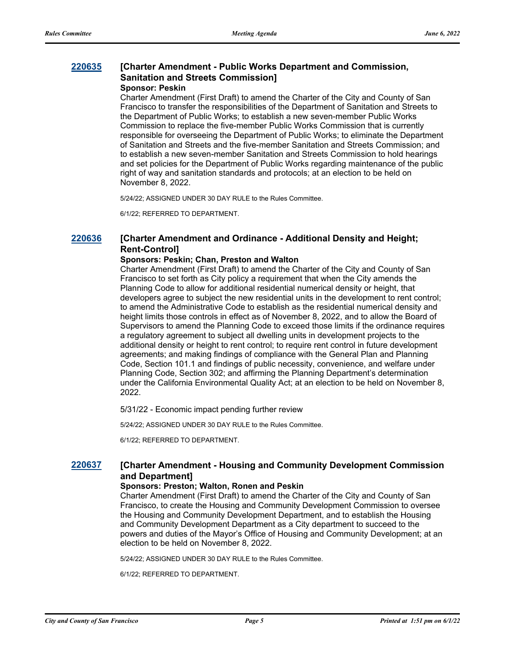#### **[220635](http://sfgov.legistar.com/gateway.aspx?m=l&id=38827) [Charter Amendment - Public Works Department and Commission, Sanitation and Streets Commission] Sponsor: Peskin**

Charter Amendment (First Draft) to amend the Charter of the City and County of San Francisco to transfer the responsibilities of the Department of Sanitation and Streets to the Department of Public Works; to establish a new seven-member Public Works Commission to replace the five-member Public Works Commission that is currently responsible for overseeing the Department of Public Works; to eliminate the Department of Sanitation and Streets and the five-member Sanitation and Streets Commission; and to establish a new seven-member Sanitation and Streets Commission to hold hearings and set policies for the Department of Public Works regarding maintenance of the public right of way and sanitation standards and protocols; at an election to be held on November 8, 2022.

5/24/22; ASSIGNED UNDER 30 DAY RULE to the Rules Committee.

6/1/22; REFERRED TO DEPARTMENT.

# **[220636](http://sfgov.legistar.com/gateway.aspx?m=l&id=38828) [Charter Amendment and Ordinance - Additional Density and Height; Rent-Control]**

### **Sponsors: Peskin; Chan, Preston and Walton**

Charter Amendment (First Draft) to amend the Charter of the City and County of San Francisco to set forth as City policy a requirement that when the City amends the Planning Code to allow for additional residential numerical density or height, that developers agree to subject the new residential units in the development to rent control; to amend the Administrative Code to establish as the residential numerical density and height limits those controls in effect as of November 8, 2022, and to allow the Board of Supervisors to amend the Planning Code to exceed those limits if the ordinance requires a regulatory agreement to subject all dwelling units in development projects to the additional density or height to rent control; to require rent control in future development agreements; and making findings of compliance with the General Plan and Planning Code, Section 101.1 and findings of public necessity, convenience, and welfare under Planning Code, Section 302; and affirming the Planning Department's determination under the California Environmental Quality Act; at an election to be held on November 8, 2022.

5/31/22 - Economic impact pending further review

5/24/22; ASSIGNED UNDER 30 DAY RULE to the Rules Committee.

6/1/22; REFERRED TO DEPARTMENT.

## **[220637](http://sfgov.legistar.com/gateway.aspx?m=l&id=38829) [Charter Amendment - Housing and Community Development Commission and Department]**

#### **Sponsors: Preston; Walton, Ronen and Peskin**

Charter Amendment (First Draft) to amend the Charter of the City and County of San Francisco, to create the Housing and Community Development Commission to oversee the Housing and Community Development Department, and to establish the Housing and Community Development Department as a City department to succeed to the powers and duties of the Mayor's Office of Housing and Community Development; at an election to be held on November 8, 2022.

5/24/22; ASSIGNED UNDER 30 DAY RULE to the Rules Committee.

6/1/22; REFERRED TO DEPARTMENT.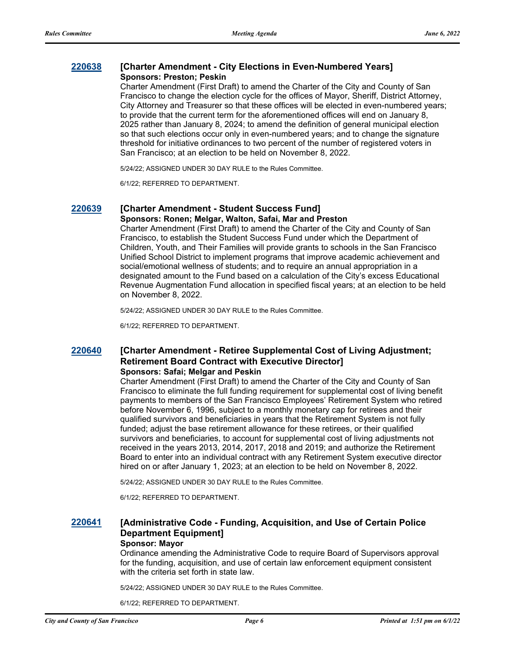## **[220638](http://sfgov.legistar.com/gateway.aspx?m=l&id=38830) [Charter Amendment - City Elections in Even-Numbered Years] Sponsors: Preston; Peskin**

Charter Amendment (First Draft) to amend the Charter of the City and County of San Francisco to change the election cycle for the offices of Mayor, Sheriff, District Attorney, City Attorney and Treasurer so that these offices will be elected in even-numbered years; to provide that the current term for the aforementioned offices will end on January 8, 2025 rather than January 8, 2024; to amend the definition of general municipal election so that such elections occur only in even-numbered years; and to change the signature threshold for initiative ordinances to two percent of the number of registered voters in San Francisco; at an election to be held on November 8, 2022.

5/24/22; ASSIGNED UNDER 30 DAY RULE to the Rules Committee.

6/1/22; REFERRED TO DEPARTMENT.

# **[220639](http://sfgov.legistar.com/gateway.aspx?m=l&id=38831) [Charter Amendment - Student Success Fund]**

**Sponsors: Ronen; Melgar, Walton, Safai, Mar and Preston** Charter Amendment (First Draft) to amend the Charter of the City and County of San Francisco, to establish the Student Success Fund under which the Department of Children, Youth, and Their Families will provide grants to schools in the San Francisco Unified School District to implement programs that improve academic achievement and social/emotional wellness of students; and to require an annual appropriation in a designated amount to the Fund based on a calculation of the City's excess Educational Revenue Augmentation Fund allocation in specified fiscal years; at an election to be held on November 8, 2022.

5/24/22; ASSIGNED UNDER 30 DAY RULE to the Rules Committee.

6/1/22; REFERRED TO DEPARTMENT.

#### **[220640](http://sfgov.legistar.com/gateway.aspx?m=l&id=38832) [Charter Amendment - Retiree Supplemental Cost of Living Adjustment; Retirement Board Contract with Executive Director] Sponsors: Safai; Melgar and Peskin**

Charter Amendment (First Draft) to amend the Charter of the City and County of San Francisco to eliminate the full funding requirement for supplemental cost of living benefit payments to members of the San Francisco Employees' Retirement System who retired before November 6, 1996, subject to a monthly monetary cap for retirees and their qualified survivors and beneficiaries in years that the Retirement System is not fully funded; adjust the base retirement allowance for these retirees, or their qualified survivors and beneficiaries, to account for supplemental cost of living adjustments not received in the years 2013, 2014, 2017, 2018 and 2019; and authorize the Retirement Board to enter into an individual contract with any Retirement System executive director hired on or after January 1, 2023; at an election to be held on November 8, 2022.

5/24/22; ASSIGNED UNDER 30 DAY RULE to the Rules Committee.

6/1/22; REFERRED TO DEPARTMENT.

#### **[220641](http://sfgov.legistar.com/gateway.aspx?m=l&id=38833) [Administrative Code - Funding, Acquisition, and Use of Certain Police Department Equipment] Sponsor: Mayor**

Ordinance amending the Administrative Code to require Board of Supervisors approval for the funding, acquisition, and use of certain law enforcement equipment consistent with the criteria set forth in state law.

5/24/22; ASSIGNED UNDER 30 DAY RULE to the Rules Committee.

6/1/22; REFERRED TO DEPARTMENT.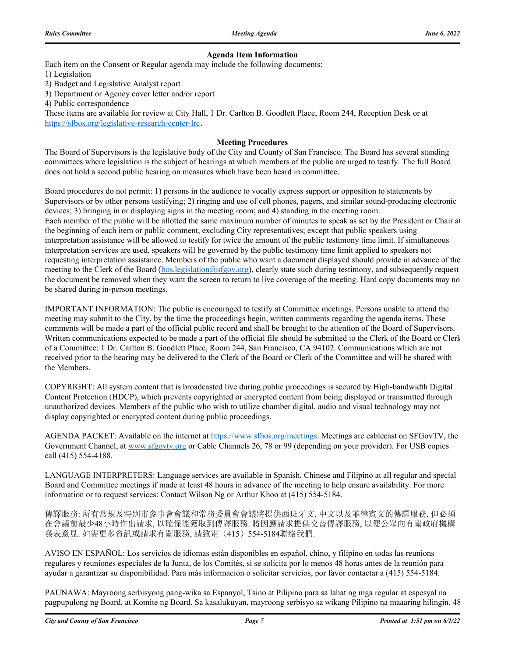#### **Agenda Item Information**

Each item on the Consent or Regular agenda may include the following documents:

1) Legislation

2) Budget and Legislative Analyst report

3) Department or Agency cover letter and/or report

4) Public correspondence

These items are available for review at City Hall, 1 Dr. Carlton B. Goodlett Place, Room 244, Reception Desk or at https://sfbos.org/legislative-research-center-lrc.

#### **Meeting Procedures**

The Board of Supervisors is the legislative body of the City and County of San Francisco. The Board has several standing committees where legislation is the subject of hearings at which members of the public are urged to testify. The full Board does not hold a second public hearing on measures which have been heard in committee.

Board procedures do not permit: 1) persons in the audience to vocally express support or opposition to statements by Supervisors or by other persons testifying; 2) ringing and use of cell phones, pagers, and similar sound-producing electronic devices; 3) bringing in or displaying signs in the meeting room; and 4) standing in the meeting room. Each member of the public will be allotted the same maximum number of minutes to speak as set by the President or Chair at the beginning of each item or public comment, excluding City representatives; except that public speakers using interpretation assistance will be allowed to testify for twice the amount of the public testimony time limit. If simultaneous interpretation services are used, speakers will be governed by the public testimony time limit applied to speakers not requesting interpretation assistance. Members of the public who want a document displayed should provide in advance of the meeting to the Clerk of the Board (bos.legislation@sfgov.org), clearly state such during testimony, and subsequently request the document be removed when they want the screen to return to live coverage of the meeting. Hard copy documents may no be shared during in-person meetings.

IMPORTANT INFORMATION: The public is encouraged to testify at Committee meetings. Persons unable to attend the meeting may submit to the City, by the time the proceedings begin, written comments regarding the agenda items. These comments will be made a part of the official public record and shall be brought to the attention of the Board of Supervisors. Written communications expected to be made a part of the official file should be submitted to the Clerk of the Board or Clerk of a Committee: 1 Dr. Carlton B. Goodlett Place, Room 244, San Francisco, CA 94102. Communications which are not received prior to the hearing may be delivered to the Clerk of the Board or Clerk of the Committee and will be shared with the Members.

COPYRIGHT: All system content that is broadcasted live during public proceedings is secured by High-bandwidth Digital Content Protection (HDCP), which prevents copyrighted or encrypted content from being displayed or transmitted through unauthorized devices. Members of the public who wish to utilize chamber digital, audio and visual technology may not display copyrighted or encrypted content during public proceedings.

AGENDA PACKET: Available on the internet at https://www.sfbos.org/meetings. Meetings are cablecast on SFGovTV, the Government Channel, at www.sfgovtv.org or Cable Channels 26, 78 or 99 (depending on your provider). For USB copies call (415) 554-4188.

LANGUAGE INTERPRETERS: Language services are available in Spanish, Chinese and Filipino at all regular and special Board and Committee meetings if made at least 48 hours in advance of the meeting to help ensure availability. For more information or to request services: Contact Wilson Ng or Arthur Khoo at (415) 554-5184.

傳譯服務: 所有常規及特別市參事會會議和常務委員會會議將提供西班牙文, 中文以及菲律賓文的傳譯服務, 但必須 在會議前最少48小時作出請求, 以確保能獲取到傳譯服務. 將因應請求提供交替傳譯服務, 以便公眾向有關政府機構 發表意見. 如需更多資訊或請求有關服務, 請致電(415)554-5184聯絡我們.

AVISO EN ESPAÑOL: Los servicios de idiomas están disponibles en español, chino, y filipino en todas las reunions regulares y reuniones especiales de la Junta, de los Comités, si se solicita por lo menos 48 horas antes de la reunión para ayudar a garantizar su disponibilidad. Para más información o solicitar servicios, por favor contactar a (415) 554-5184.

PAUNAWA: Mayroong serbisyong pang-wika sa Espanyol, Tsino at Pilipino para sa lahat ng mga regular at espesyal na pagpupulong ng Board, at Komite ng Board. Sa kasalukuyan, mayroong serbisyo sa wikang Pilipino na maaaring hilingin, 48